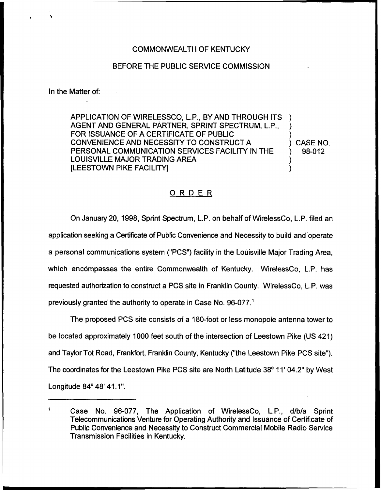## COMMONWEALTH OF KENTUCKY

### BEFORE THE PUBLIC SERVICE COMMISSION

#### In the Matter of:

APPLICATION OF WIRELESSCO, L.P., BY AND THROUGH ITS ) AGENT AND GENERAL PARTNER, SPRINT SPECTRUM, L.P., ) FOR ISSUANCE OF A CERTIFICATE OF PUBLIC CONVENIENCE AND NECESSITY TO CONSTRUCT A (CASE NO.<br>PERSONAL COMMUNICATION SERVICES FACILITY IN THE (2006) 98-012 PERSONAL COMMUNICATION SERVICES FACILITY IN THE LOUISVILLE MAJOR TRADING AREA **ILEESTOWN PIKE FACILITY!** 

## ORDER

On January 20, 1998, Sprint Spectrum, L.P. on behalf of WirelessCo, L.P. filed an application seeking a Certificate of Public Convenience and Necessity to build and operate a personal communications system ("PCS") facility in the Louisville Major Trading Area, which encompasses the entire Commonwealth of Kentucky. WirelessCo, L.P. has requested authorization to construct a PCS site in Franklin County. WirelessCo, L.P. was previously granted the authority to operate in Case No. 96-077."

The proposed PCS site consists of a 180-foot or less monopole antenna tower to be located approximately 1000 feet south of the intersection of Leestown Pike (US 421) and Taylor Tot Road, Frankfort, Franklin County, Kentucky ("the Leestown Pike PCS site"). The coordinates for the Leestown Pike PCS site are North Latitude 38° 11' 04.2" by West Longitude 84° 48' 41.1".

 $\mathbf{1}$ Case No. 96-077, The Application of WirelessCo, L.P., d/b/a Sprint Telecommunications Venture for Operating Authority and Issuance of Certificate of Public Convenience and Necessity to Construct Commercial Mobile Radio Service Transmission Facilities in Kentucky.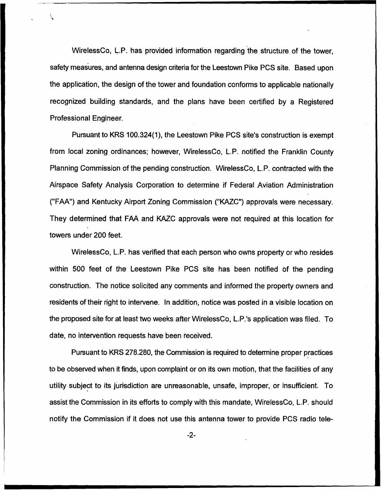WirelessCo, L.P. has provided information regarding the structure of the tower, safety measures, and antenna design criteria for the Leestown Pike PCS site. Based upon the application, the design of the tower and foundation conforms to applicable nationally recognized building standards, and the plans have been certified by a Registered Professional Engineer.

Pursuant to KRS 100.324(1), the Leestown Pike PCS site's construction is exempt from local zoning ordinances; however, WirelessCo, L.P. notified the Franklin County Planning Commission of the pending construction. WirelessCo, L.P. contracted with the Airspace Safety Analysis Corporation to determine if Federal Aviation Administration ("FAA") and Kentucky Airport Zoning Commission ("KAZC") approvals were necessary. They determined that FAA and KAZC approvals were not required at this location for towers under 200 feet.

WirelessCo, L.P. has verified that each person who owns property or who resides within 500 feet of the Leestown Pike PCS site has been notified of the pending construction. The notice solicited any comments and informed the property owners and residents of their right to intervene. In addition, notice was posted in a visible location on the proposed site for at least two weeks after WirelessCo, L.P.'s application was filed. To date, no intervention requests have been received.

Pursuant to KRS 2?8.280, the Commission is required to determine proper practices to be observed when it finds, upon complaint or on its own motion, that the facilities of any utility subject to its jurisdiction are unreasonable, unsafe, improper, or insufficient. To assist the Commission in its efforts to comply with this mandate, WirelessCo, L.P. should notify the Commission if it does not use this antenna tower to provide PCS radio tele-

 $-2-$